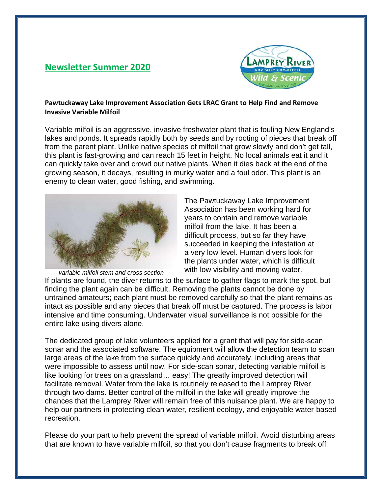# **Newsletter Summer 2020**



#### **Pawtuckaway Lake Improvement Association Gets LRAC Grant to Help Find and Remove Invasive Variable Milfoil**

Variable milfoil is an aggressive, invasive freshwater plant that is fouling New England's lakes and ponds. It spreads rapidly both by seeds and by rooting of pieces that break off from the parent plant. Unlike native species of milfoil that grow slowly and don't get tall, this plant is fast-growing and can reach 15 feet in height. No local animals eat it and it can quickly take over and crowd out native plants. When it dies back at the end of the growing season, it decays, resulting in murky water and a foul odor. This plant is an enemy to clean water, good fishing, and swimming.



*variable milfoil stem and cross section*

The Pawtuckaway Lake Improvement Association has been working hard for years to contain and remove variable milfoil from the lake. It has been a difficult process, but so far they have succeeded in keeping the infestation at a very low level. Human divers look for the plants under water, which is difficult with low visibility and moving water.

If plants are found, the diver returns to the surface to gather flags to mark the spot, but finding the plant again can be difficult. Removing the plants cannot be done by untrained amateurs; each plant must be removed carefully so that the plant remains as intact as possible and any pieces that break off must be captured. The process is labor intensive and time consuming. Underwater visual surveillance is not possible for the entire lake using divers alone.

The dedicated group of lake volunteers applied for a grant that will pay for side-scan sonar and the associated software. The equipment will allow the detection team to scan large areas of the lake from the surface quickly and accurately, including areas that were impossible to assess until now. For side-scan sonar, detecting variable milfoil is like looking for trees on a grassland… easy! The greatly improved detection will facilitate removal. Water from the lake is routinely released to the Lamprey River through two dams. Better control of the milfoil in the lake will greatly improve the chances that the Lamprey River will remain free of this nuisance plant. We are happy to help our partners in protecting clean water, resilient ecology, and enjoyable water-based recreation.

Please do your part to help prevent the spread of variable milfoil. Avoid disturbing areas that are known to have variable milfoil, so that you don't cause fragments to break off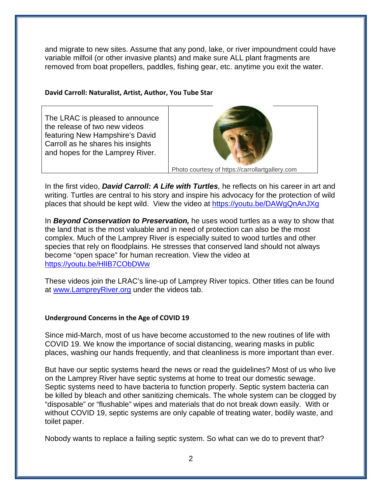and migrate to new sites. Assume that any pond, lake, or river impoundment could have variable milfoil (or other invasive plants) and make sure ALL plant fragments are removed from boat propellers, paddles, fishing gear, etc. anytime you exit the water.

#### **David Carroll: Naturalist, Artist, Author, You Tube Star**

The LRAC is pleased to announce the release of two new videos featuring New Hampshire's David Carroll as he shares his insights and hopes for the Lamprey River.



In the first video, *David Carroll: A Life with Turtles,* he reflects on his career in art and writing. Turtles are central to his story and inspire his advocacy for the protection of wild places that should be kept wild. View the video at<https://youtu.be/DAWgQnAnJXg>

In *Beyond Conservation to Preservation,* he uses wood turtles as a way to show that the land that is the most valuable and in need of protection can also be the most complex. Much of the Lamprey River is especially suited to wood turtles and other species that rely on floodplains. He stresses that conserved land should not always become "open space" for human recreation. View the video at <https://youtu.be/HlIB7CObDWw>

These videos join the LRAC's line-up of Lamprey River topics. Other titles can be found at [www.LampreyRiver.org](http://www.lampreyriver.org/) under the videos tab.

### **Underground Concerns in the Age of COVID 19**

Since mid-March, most of us have become accustomed to the new routines of life with COVID 19. We know the importance of social distancing, wearing masks in public places, washing our hands frequently, and that cleanliness is more important than ever.

But have our septic systems heard the news or read the guidelines? Most of us who live on the Lamprey River have septic systems at home to treat our domestic sewage. Septic systems need to have bacteria to function properly. Septic system bacteria can be killed by bleach and other sanitizing chemicals. The whole system can be clogged by "disposable" or "flushable" wipes and materials that do not break down easily. With or without COVID 19, septic systems are only capable of treating water, bodily waste, and toilet paper.

Nobody wants to replace a failing septic system. So what can we do to prevent that?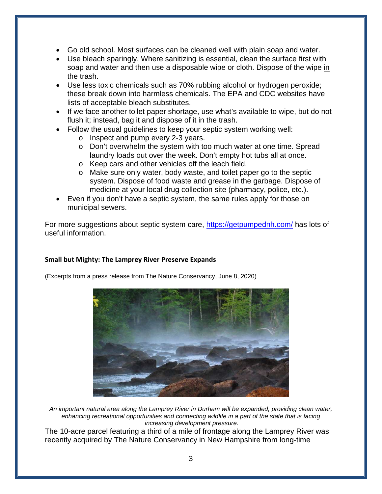- Go old school. Most surfaces can be cleaned well with plain soap and water.
- Use bleach sparingly. Where sanitizing is essential, clean the surface first with soap and water and then use a disposable wipe or cloth. Dispose of the wipe in the trash.
- Use less toxic chemicals such as 70% rubbing alcohol or hydrogen peroxide; these break down into harmless chemicals. The EPA and CDC websites have lists of acceptable bleach substitutes.
- If we face another toilet paper shortage, use what's available to wipe, but do not flush it; instead, bag it and dispose of it in the trash.
- Follow the usual guidelines to keep your septic system working well:
	- o Inspect and pump every 2-3 years.
	- o Don't overwhelm the system with too much water at one time. Spread laundry loads out over the week. Don't empty hot tubs all at once.
	- o Keep cars and other vehicles off the leach field.
	- o Make sure only water, body waste, and toilet paper go to the septic system. Dispose of food waste and grease in the garbage. Dispose of medicine at your local drug collection site (pharmacy, police, etc.).
- Even if you don't have a septic system, the same rules apply for those on municipal sewers.

For more suggestions about septic system care,<https://getpumpednh.com/> has lots of useful information.

### **Small but Mighty: The Lamprey River Preserve Expands**



(Excerpts from a press release from The Nature Conservancy, June 8, 2020)

*An important natural area along the Lamprey River in Durham will be expanded, providing clean water, enhancing recreational opportunities and connecting wildlife in a part of the state that is facing increasing development pressure.*

The 10-acre parcel featuring a third of a mile of frontage along the Lamprey River was recently acquired by The Nature Conservancy in New Hampshire from long-time